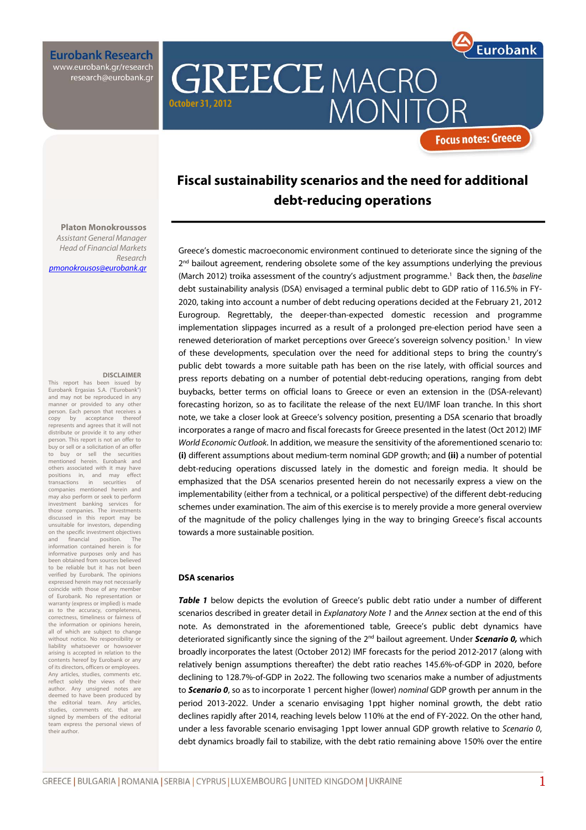**Eurobank Research** www.eurobank.gr/research research@eurobank.gr

**Platon Monokroussos**  Assistant General Manager Head of Financial Markets

pmonokrousos@eurobank.gr

### **Fiscal sustainability scenarios and the need for additional debt-reducing operations**

**MONI** 

**GREECE MACRO** 

Greece's domestic macroeconomic environment continued to deteriorate since the signing of the 2<sup>nd</sup> bailout agreement, rendering obsolete some of the key assumptions underlying the previous (March 2012) troika assessment of the country's adjustment programme.<sup>1</sup> Back then, the baseline debt sustainability analysis (DSA) envisaged a terminal public debt to GDP ratio of 116.5% in FY-2020, taking into account a number of debt reducing operations decided at the February 21, 2012 Eurogroup. Regrettably, the deeper-than-expected domestic recession and programme implementation slippages incurred as a result of a prolonged pre-election period have seen a renewed deterioration of market perceptions over Greece's sovereign solvency position.<sup>1</sup> In view of these developments, speculation over the need for additional steps to bring the country's public debt towards a more suitable path has been on the rise lately, with official sources and press reports debating on a number of potential debt-reducing operations, ranging from debt buybacks, better terms on official loans to Greece or even an extension in the (DSA-relevant) forecasting horizon, so as to facilitate the release of the next EU/IMF loan tranche. In this short note, we take a closer look at Greece's solvency position, presenting a DSA scenario that broadly incorporates a range of macro and fiscal forecasts for Greece presented in the latest (Oct 2012) IMF World Economic Outlook. In addition, we measure the sensitivity of the aforementioned scenario to: **(i)** different assumptions about medium-term nominal GDP growth; and **(ii)** a number of potential debt-reducing operations discussed lately in the domestic and foreign media. It should be emphasized that the DSA scenarios presented herein do not necessarily express a view on the implementability (either from a technical, or a political perspective) of the different debt-reducing schemes under examination. The aim of this exercise is to merely provide a more general overview of the magnitude of the policy challenges lying in the way to bringing Greece's fiscal accounts towards a more sustainable position.

#### **DSA scenarios**

**October 31, 2012** 

**Table 1** below depicts the evolution of Greece's public debt ratio under a number of different scenarios described in greater detail in Explanatory Note 1 and the Annex section at the end of this note. As demonstrated in the aforementioned table, Greece's public debt dynamics have deteriorated significantly since the signing of the 2nd bailout agreement. Under **Scenario 0,** which broadly incorporates the latest (October 2012) IMF forecasts for the period 2012-2017 (along with relatively benign assumptions thereafter) the debt ratio reaches 145.6%-of-GDP in 2020, before declining to 128.7%-of-GDP in 2o22. The following two scenarios make a number of adjustments to **Scenario 0**, so as to incorporate 1 percent higher (lower) nominal GDP growth per annum in the period 2013-2022. Under a scenario envisaging 1ppt higher nominal growth, the debt ratio declines rapidly after 2014, reaching levels below 110% at the end of FY-2022. On the other hand, under a less favorable scenario envisaging 1ppt lower annual GDP growth relative to Scenario 0, debt dynamics broadly fail to stabilize, with the debt ratio remaining above 150% over the entire

Research

**DISCLAIMER**  This report has been issued by Eurobank Ergasias S.A. ("Eurobank") and may not be reproduced in any manner or provided to any other person. Each person that receives a copy by acceptance thereof represents and agrees that it will not distribute or provide it to any other person. This report is not an offer to buy or sell or a solicitation of an offer to buy or sell the securities mentioned herein. Eurobank and others associated with it may have<br>positions in, and may effect positions in, and may effect transactions in securities of companies mentioned herein and may also perform or seek to perform investment banking services for those companies. The investments discussed in this report may be unsuitable for investors, depending on the specific investment objectives<br>and financial position. The financial information contained herein is for informative purposes only and has been obtained from sources believed to be reliable but it has not been verified by Eurobank. The opinions expressed herein may not necessarily coincide with those of any member of Eurobank. No representation or warranty (express or implied) is made as to the accuracy, completeness, correctness, timeliness or fairness of the information or opinions herein, all of which are subject to change without notice. No responsibility or liability whatsoever or howsoever arising is accepted in relation to the contents hereof by Eurobank or any of its directors, officers or employees. Any articles, studies, comments etc. reflect solely the views of their author. Any unsigned notes are deemed to have been produced by the editorial team. Any articles, studies, comments etc. signed by members of the editorial team express the personal views of their author.



**Focus notes: Greece**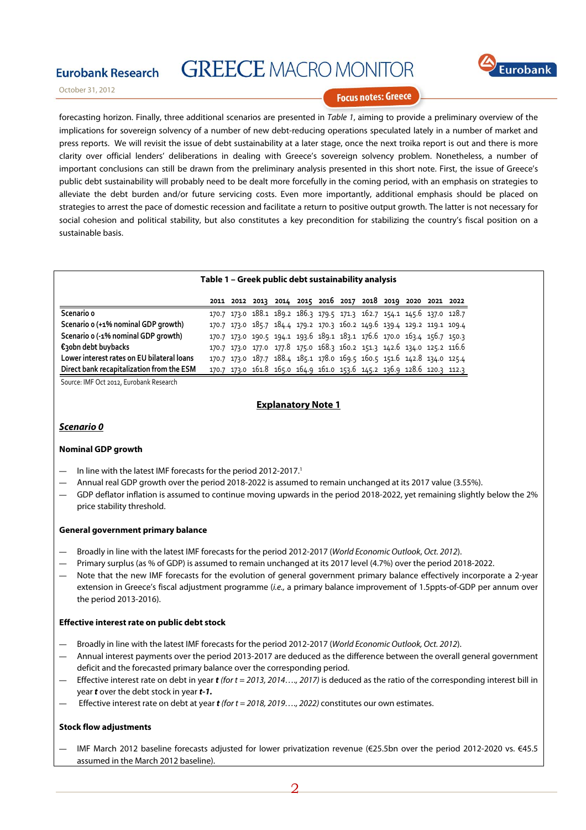

October 31, 2012

**Eurobank Research** 

#### **Focus notes: Greece**

forecasting horizon. Finally, three additional scenarios are presented in Table 1, aiming to provide a preliminary overview of the implications for sovereign solvency of a number of new debt-reducing operations speculated lately in a number of market and press reports. We will revisit the issue of debt sustainability at a later stage, once the next troika report is out and there is more clarity over official lenders' deliberations in dealing with Greece's sovereign solvency problem. Nonetheless, a number of important conclusions can still be drawn from the preliminary analysis presented in this short note. First, the issue of Greece's public debt sustainability will probably need to be dealt more forcefully in the coming period, with an emphasis on strategies to alleviate the debt burden and/or future servicing costs. Even more importantly, additional emphasis should be placed on strategies to arrest the pace of domestic recession and facilitate a return to positive output growth. The latter is not necessary for social cohesion and political stability, but also constitutes a key precondition for stabilizing the country's fiscal position on a sustainable basis.

#### **Table 1 – Greek public debt sustainability analysis**

|                                            |  | 2011 2012 2013 2014 2015 2016 2017 2018 2019 2020 2021 2022             |  |  |  |                                                                         |
|--------------------------------------------|--|-------------------------------------------------------------------------|--|--|--|-------------------------------------------------------------------------|
| Scenario o                                 |  | 170.7 173.0 188.1 189.2 186.3 179.5 171.3 162.7 154.1 145.6 137.0 128.7 |  |  |  |                                                                         |
| Scenario o (+1% nominal GDP growth)        |  |                                                                         |  |  |  | 170.7 173.0 185.7 184.4 179.2 170.3 160.2 149.6 139.4 129.2 119.1 109.4 |
| Scenario o (-1% nominal GDP growth)        |  | 170.7 173.0 190.5 194.1 193.6 189.1 183.1 176.6 170.0 163.4 156.7 150.3 |  |  |  |                                                                         |
| €obn debt buybacks                         |  |                                                                         |  |  |  | 170.7 173.0 177.0 177.8 175.0 168.3 160.2 151.3 142.6 134.0 125.2 116.6 |
| Lower interest rates on EU bilateral loans |  | 170.7 173.0 187.7 188.4 185.1 178.0 169.5 160.5 151.6 142.8 134.0 125.4 |  |  |  |                                                                         |
| Direct bank recapitalization from the ESM  |  | 170.7 173.0 161.8 165.0 164.9 161.0 153.6 145.2 136.9 128.6 120.3 112.3 |  |  |  |                                                                         |

Source: IMF Oct 2012, Eurobank Research

#### **Explanatory Note 1**

#### **Scenario 0**

#### **Nominal GDP growth**

- In line with the latest IMF forecasts for the period 2012-2017.<sup>1</sup>
- ― Annual real GDP growth over the period 2018-2022 is assumed to remain unchanged at its 2017 value (3.55%).
- GDP deflator inflation is assumed to continue moving upwards in the period 2018-2022, yet remaining slightly below the 2% price stability threshold.

#### **General government primary balance**

- ― Broadly in line with the latest IMF forecasts for the period 2012-2017 (World Economic Outlook, Oct. 2012).
- ― Primary surplus (as % of GDP) is assumed to remain unchanged at its 2017 level (4.7%) over the period 2018-2022.
- ― Note that the new IMF forecasts for the evolution of general government primary balance effectively incorporate a 2-year extension in Greece's fiscal adjustment programme (i.e., a primary balance improvement of 1.5ppts-of-GDP per annum over the period 2013-2016).

#### **Effective interest rate on public debt stock**

- Broadly in line with the latest IMF forecasts for the period 2012-2017 (World Economic Outlook, Oct. 2012).
- ― Annual interest payments over the period 2013-2017 are deduced as the difference between the overall general government deficit and the forecasted primary balance over the corresponding period.
- ― Effective interest rate on debt in year **t** (for t = 2013, 2014…., 2017) is deduced as the ratio of the corresponding interest bill in year **t** over the debt stock in year **t-1.**
- ― Effective interest rate on debt at year **t** (for t = 2018, 2019…., 2022) constitutes our own estimates.

#### **Stock flow adjustments**

― IMF March 2012 baseline forecasts adjusted for lower privatization revenue (€25.5bn over the period 2012-2020 vs. €45.5 assumed in the March 2012 baseline).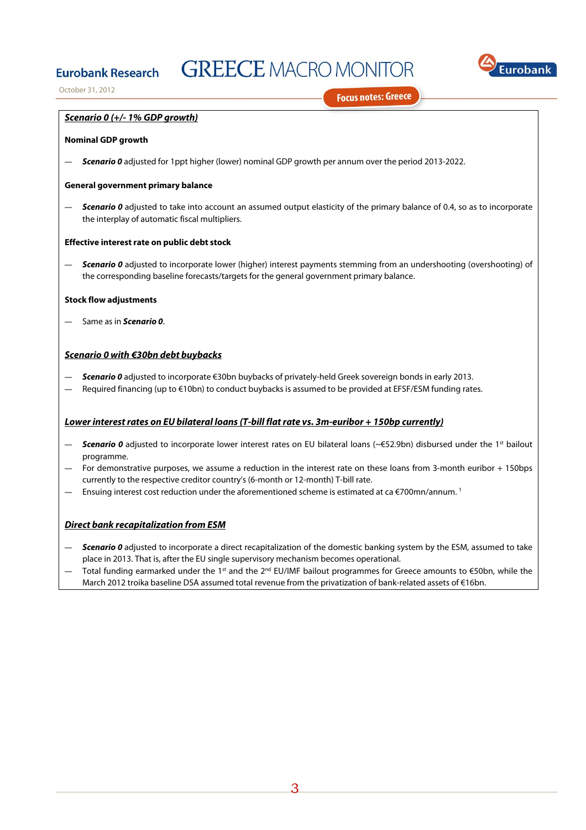

October 31, 2012

**Focus notes: Greece** 

#### **Scenario 0 (+/- 1% GDP growth)**

#### **Nominal GDP growth**

**Eurobank Research** 

― **Scenario 0** adjusted for 1ppt higher (lower) nominal GDP growth per annum over the period 2013-2022.

#### **General government primary balance**

Scenario 0 adjusted to take into account an assumed output elasticity of the primary balance of 0.4, so as to incorporate the interplay of automatic fiscal multipliers.

#### **Effective interest rate on public debt stock**

Scenario 0 adjusted to incorporate lower (higher) interest payments stemming from an undershooting (overshooting) of the corresponding baseline forecasts/targets for the general government primary balance.

#### **Stock flow adjustments**

― Same as in **Scenario 0**.

#### **Scenario 0 with €30bn debt buybacks**

- ― **Scenario 0** adjusted to incorporate €30bn buybacks of privately-held Greek sovereign bonds in early 2013.
- Required financing (up to €10bn) to conduct buybacks is assumed to be provided at EFSF/ESM funding rates.

#### **Lower interest rates on EU bilateral loans (T-bill flat rate vs. 3m-euribor + 150bp currently)**

- **Scenario 0** adjusted to incorporate lower interest rates on EU bilateral loans (~€52.9bn) disbursed under the 1<sup>st</sup> bailout programme.
- For demonstrative purposes, we assume a reduction in the interest rate on these loans from 3-month euribor + 150bps currently to the respective creditor country's (6-month or 12-month) T-bill rate.
- Ensuing interest cost reduction under the aforementioned scheme is estimated at ca  $\epsilon$ 700mn/annum.<sup>1</sup>

#### **Direct bank recapitalization from ESM**

- **Scenario 0** adjusted to incorporate a direct recapitalization of the domestic banking system by the ESM, assumed to take place in 2013. That is, after the EU single supervisory mechanism becomes operational.
- Total funding earmarked under the 1st and the 2<sup>nd</sup> EU/IMF bailout programmes for Greece amounts to €50bn, while the March 2012 troika baseline DSA assumed total revenue from the privatization of bank-related assets of €16bn.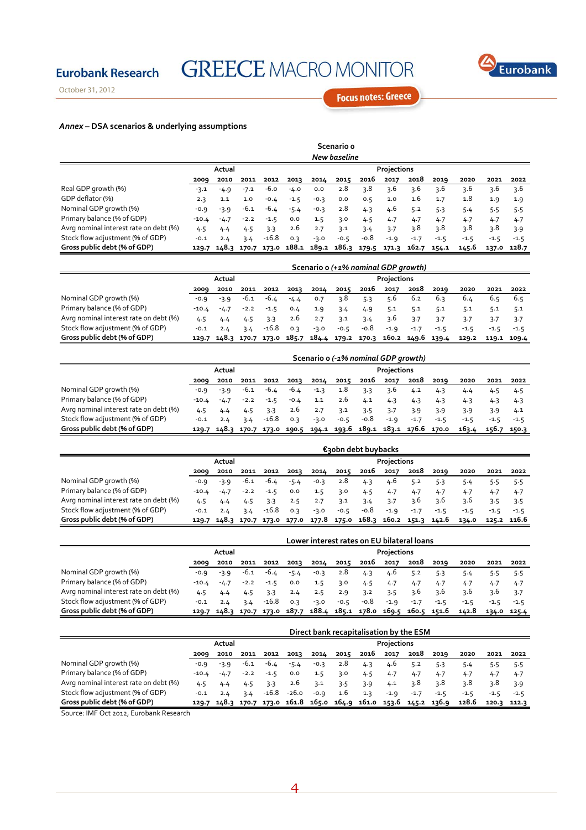

October 31, 2012

**Eurobank Research** 

**Focus notes: Greece** 

### *Annex* **– DSA scenarios & underlying assumptions**

|                                        |              |                       |        |         |        |                                                                   | Scenario o |        |        |        |        |        |        |             |
|----------------------------------------|--------------|-----------------------|--------|---------|--------|-------------------------------------------------------------------|------------|--------|--------|--------|--------|--------|--------|-------------|
|                                        | New baseline |                       |        |         |        |                                                                   |            |        |        |        |        |        |        |             |
|                                        |              | Projections<br>Actual |        |         |        |                                                                   |            |        |        |        |        |        |        |             |
|                                        | 2009         | 2010                  | 2011   | 2012    | 2013   | 2014                                                              | 2015       | 2016   | 2017   | 2018   | 2019   | 2020   | 2021   | 2022        |
| Real GDP growth (%)                    | $-3.1$       | $-4.9$                | $-7.1$ | -6.0    | $-4.0$ | 0.0                                                               | 2.8        | 3.8    | 3.6    | 3.6    | 3.6    | 3.6    | 3.6    | 3.6         |
| GDP deflator (%)                       | 2.3          | 1.1                   | 1.0    | $-0.4$  | $-1.5$ | $-0.3$                                                            | 0.0        | 0.5    | 1.0    | 1.6    | 1.7    | 1.8    | 1.9    | 1.9         |
| Nominal GDP growth (%)                 | $-0.9$       | $-3.9$                | $-6.1$ | -6.4    | $-5.4$ | $-0.3$                                                            | 2.8        | 4.3    | 4.6    | 5.2    | 5.3    | 5.4    | 5.5    | 5.5         |
| Primary balance (% of GDP)             | $-10.4$      | $-4.7$                | $-2.2$ | $-1.5$  | 0.0    | 1.5                                                               | 3.0        | 4.5    | 4.7    | 4.7    | 4.7    | 4.7    | 4.7    | 4.7         |
| Avrg nominal interest rate on debt (%) | 4.5          | 4.4                   | 4.5    | 3.3     | 2.6    | 2.7                                                               | 3.1        | 3.4    | 3.7    | 3.8    | 3.8    | ว.8    | 3.8    | 3.9         |
| Stock flow adjustment (% of GDP)       | $-0.1$       | 2.4                   | 3.4    | $-16.8$ | 0.3    | $-3.0$                                                            | $-0.5$     | $-0.8$ | $-1.9$ | $-1.7$ | $-1.5$ | $-1.5$ | $-1.5$ | $-1.5$      |
| Gross public debt (% of GDP)           |              |                       |        |         |        | 129.7 148.3 170.7 173.0 188.1 189.2 186.3 179.5 171.3 162.7 154.1 |            |        |        |        |        | 145.6  |        | 137.0 128.7 |

|                                        |         |                       |        |        |        | Scenario o (+1% nominal GDP growth)                               |        |      |        |        |        |        |        |             |
|----------------------------------------|---------|-----------------------|--------|--------|--------|-------------------------------------------------------------------|--------|------|--------|--------|--------|--------|--------|-------------|
|                                        |         | Projections<br>Actual |        |        |        |                                                                   |        |      |        |        |        |        |        |             |
|                                        | 2009    | 2010                  | 2011   | 2012   | 2013   | 2014                                                              | 2015   | 2016 | 2017   | 2018   | 2019   | 2020   | 2021   | 2022        |
| Nominal GDP growth (%)                 | $-0.9$  | $-3.9$                | -6.1   | -6.4   | $-4.4$ | 0.7                                                               | ว.8    | 5.3  | 5.6    | 6.2    | 6.3    | 6.4    | 6.5    | 6.5         |
| Primary balance (% of GDP)             | $-10.4$ | $-4.7$                | $-2.2$ | $-1.5$ | 0.4    | 1.9                                                               | 3.4    | 4.9  | 5.1    | 5.1    | 5.1    | 5.1    | 5.1    | 5.1         |
| Avrg nominal interest rate on debt (%) | 4.5     |                       |        | 3.3    | 2.6    | 2.7                                                               | 3.1    | 3.4  | 3.6    | 3.7    | 3.7    | 3.7    |        | -3.7        |
| Stock flow adjustment (% of GDP)       | $-0.1$  | 2.4                   | 3.4    | -16.8  | 0.3    | $-3.0$                                                            | $-0.5$ | -0.8 | $-1.9$ | $-1.7$ | $-1.5$ | $-1.5$ | $-1.5$ | $-1.5$      |
| Gross public debt (% of GDP)           |         |                       |        |        |        | 129.7 148.3 170.7 173.0 185.7 184.4 179.2 170.3 160.2 149.6 139.4 |        |      |        |        |        | 129.2  |        | 119.1 109.4 |

|                                        |        |                       |        |         |        | Scenario o (-1% nominal GDP growth) |        |      |        |                                                                   |        |        |             |        |
|----------------------------------------|--------|-----------------------|--------|---------|--------|-------------------------------------|--------|------|--------|-------------------------------------------------------------------|--------|--------|-------------|--------|
|                                        |        | Projections<br>Actual |        |         |        |                                     |        |      |        |                                                                   |        |        |             |        |
|                                        | 2009   | 2010                  | 2011   | 2012    | 2013   | 2014                                | 2015   | 2016 | 2017   | 2018                                                              | 2019   | 2020   | 2021        | 2022   |
| Nominal GDP growth (%)                 | $-0.9$ | $-3.9$                | -6.1   | -6.4    | $-6.4$ | $-1.3$                              | 1.8    | 3.3  | -3.6   | 4.2                                                               | 4.3    | 4.4    |             | 4.5    |
| Primary balance (% of GDP)             | -10.4  | $-4.7$                | $-2.2$ | $-1.5$  | $-0.4$ | 1.1                                 | 2.6    | 4.1  | 4.3    | 4.3                                                               | 4.3    | 4.3    | 4.3         | 4.3    |
| Avrg nominal interest rate on debt (%) | 4.5    |                       | 4.5    | 3.3     | 2.6    | 2.7                                 | 3.1    | 3.5  | 3.7    | 3.9                                                               | 3.9    | 3.9    | 3.9         | 4.1    |
| Stock flow adjustment (% of GDP)       | $-0.1$ | 2.4                   | 3.4    | $-16.8$ | 0.3    | $-3.0$                              | $-0.5$ | -0.8 | $-1.9$ | $-1.7$                                                            | $-1.5$ | $-1.5$ | $-1.5$      | $-1.5$ |
| Gross public debt (% of GDP)           |        |                       |        |         |        |                                     |        |      |        | 129.7 148.3 170.7 173.0 190.5 194.1 193.6 189.1 183.1 176.6 170.0 |        | 163.4  | 156.7 150.3 |        |

|                                        |        |                               |        |        |        |                               |        | €30bn debt buybacks |        |        |        |        |        |             |
|----------------------------------------|--------|-------------------------------|--------|--------|--------|-------------------------------|--------|---------------------|--------|--------|--------|--------|--------|-------------|
|                                        |        | Projections<br>Actual         |        |        |        |                               |        |                     |        |        |        |        |        |             |
|                                        | 2009   | 2010                          | 2011   | 2012   | 2013   | 2014                          | 2015   | 2016                | 2017   | 2018   | 2019   | 2020   | 2021   | 2022        |
| Nominal GDP growth (%)                 | $-0.9$ | $-3.9$                        | -6.1   | -6.4   | $-5.4$ | $-0.3$                        | 2.8    | 4.3                 | 4.6    | 5.2    | 5.3    |        |        | -5.5        |
| Primary balance (% of GDP)             | -10.4  | $-4.7$                        | $-2.2$ | $-1.5$ | 0.0    | 1.5                           | 3.0    | 4.5                 | 4.7    | 4.7    | 4.7    | 4.7    | 4.7    | 4.7         |
| Avrg nominal interest rate on debt (%) | 4.5    | 4.4                           | 4.5    |        | 2.5    |                               | 3.1    | 3.4                 | 3.7    | 3.6    | 3.6    | 3.6    |        | -3.5        |
| Stock flow adjustment (% of GDP)       | $-0.1$ | 2.4                           | 3.4    | -16.8  | 0.3    | $-3.0$                        | $-0.5$ | -0.8                | $-1.9$ | $-1.7$ | $-1.5$ | $-1.5$ | $-1.5$ | $-1.5$      |
| Gross public debt (% of GDP)           |        | 129.7 148.3 170.7 173.0 177.0 |        |        |        | 177.8 175.0 168.3 160.2 151.3 |        |                     |        |        | 142.6  | 134.0  |        | 125.2 116.6 |

|                                        |        |        |        |         |        |        |        | Lower interest rates on EU bilateral loans                        |             |        |        |        |        |             |
|----------------------------------------|--------|--------|--------|---------|--------|--------|--------|-------------------------------------------------------------------|-------------|--------|--------|--------|--------|-------------|
|                                        |        | Actual |        |         |        |        |        |                                                                   | Projections |        |        |        |        |             |
|                                        | 2009   | 2010   | 2011   | 2012    | 2013   | 2014   | 2015   | 2016                                                              | 2017        | 2018   | 2019   | 2020   | 2021   | 2022        |
| Nominal GDP growth (%)                 | $-0.9$ | $-3.9$ | -6.1   | -6.4    | $-5.4$ | $-0.3$ | 2.8    | 4.3                                                               | 4.6         | 5.2    | 5.3    | 5.4    | 5.5    | 5.5         |
| Primary balance (% of GDP)             | -10.4  | $-4.7$ | $-2.2$ | $-1.5$  | 0.0    | 1.5    | 3.0    | 4.5                                                               | 4.7         | 4.7    | 4.7    | 4.7    | 4.7    | 4.7         |
| Avrg nominal interest rate on debt (%) | 4.5    | 4.4    |        | 3.3     | 2.4    | 2.5    | 2.9    | 3.2                                                               | 3.5         | 3.6    | 3.6    | 3.6    | 3.6    | 3.7         |
| Stock flow adjustment (% of GDP)       | $-0.1$ | 2.4    | 3.4    | $-16.8$ | 0.3    | $-3.0$ | $-0.5$ | -0.8                                                              | $-1.9$      | $-1.7$ | $-1.5$ | $-1.5$ | $-1.5$ | $-1.5$      |
| Gross public debt (% of GDP)           |        |        |        |         |        |        |        | 129.7 148.3 170.7 173.0 187.7 188.4 185.1 178.0 169.5 160.5 151.6 |             |        |        | 142.8  |        | 134.0 125.4 |

|                                        |        |                       |        |        |        | Direct bank recapitalisation by the ESM                           |      |      |        |        |        |        |             |        |
|----------------------------------------|--------|-----------------------|--------|--------|--------|-------------------------------------------------------------------|------|------|--------|--------|--------|--------|-------------|--------|
|                                        |        | Projections<br>Actual |        |        |        |                                                                   |      |      |        |        |        |        |             |        |
|                                        | 2009   | 2010                  | 2011   | 2012   | 2013   | 2014                                                              | 2015 | 2016 | 2017   | 2018   | 2019   | 2020   | 2021        | 2022   |
| Nominal GDP growth (%)                 | $-0.9$ | $-3.9$                | $-6.1$ | -6.4   | $-5.4$ | $-0.3$                                                            | 2.8  | 4.3  | 4.6    | 5.2    | 5.3    |        |             | -5.5   |
| Primary balance (% of GDP)             | -10.4  | $-4.7$                | $-2.2$ | $-1.5$ | 0.0    | 1.5                                                               | 3.0  | 4.5  | 4.7    | 4.7    | 4.7    | 4.7    | 4.7         | 4.7    |
| Avrg nominal interest rate on debt (%) | 4.5    |                       | 4.5    | 3.3    | 2.6    | 3.1                                                               | 3.5  | 3.9  | 4.1    | - ว.8  | ર.8    | ว.8    |             | 3.9    |
| Stock flow adjustment (% of GDP)       | $-0.1$ | 2.4                   | 3.4    | -16.8  | -26.0  | $-0.9$                                                            | 1.6  | 1.3  | $-1.9$ | $-1.7$ | $-1.5$ | $-1.5$ | $-1.5$      | $-1.5$ |
| Gross public debt (% of GDP)           |        |                       |        |        |        | 129.7 148.3 170.7 173.0 161.8 165.0 164.9 161.0 153.6 145.2 136.9 |      |      |        |        |        | 128.6  | 120.3 112.3 |        |

Source: IMF Oct 2012, Eurobank Research